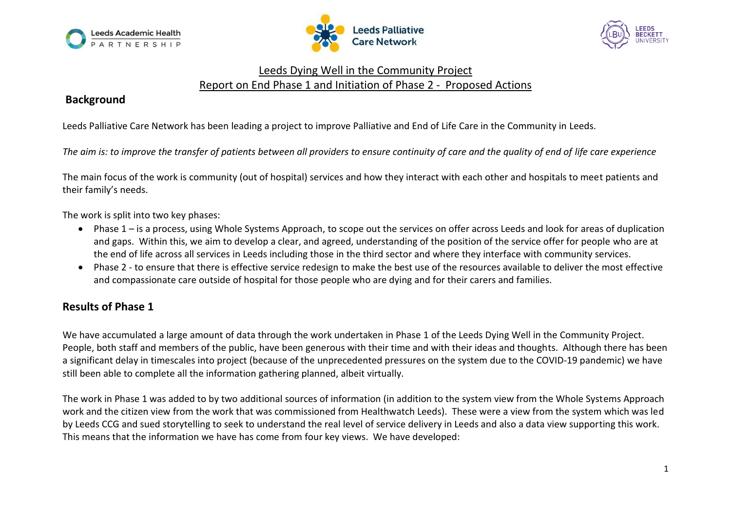





# Leeds Dying Well in the Community Project Report on End Phase 1 and Initiation of Phase 2 - Proposed Actions

## **Background**

Leeds Palliative Care Network has been leading a project to improve Palliative and End of Life Care in the Community in Leeds.

*The aim is: to improve the transfer of patients between all providers to ensure continuity of care and the quality of end of life care experience*

The main focus of the work is community (out of hospital) services and how they interact with each other and hospitals to meet patients and their family's needs.

The work is split into two key phases:

- Phase 1 is a process, using Whole Systems Approach, to scope out the services on offer across Leeds and look for areas of duplication and gaps. Within this, we aim to develop a clear, and agreed, understanding of the position of the service offer for people who are at the end of life across all services in Leeds including those in the third sector and where they interface with community services.
- Phase 2 to ensure that there is effective service redesign to make the best use of the resources available to deliver the most effective and compassionate care outside of hospital for those people who are dying and for their carers and families.

# **Results of Phase 1**

We have accumulated a large amount of data through the work undertaken in Phase 1 of the Leeds Dying Well in the Community Project. People, both staff and members of the public, have been generous with their time and with their ideas and thoughts. Although there has been a significant delay in timescales into project (because of the unprecedented pressures on the system due to the COVID-19 pandemic) we have still been able to complete all the information gathering planned, albeit virtually.

The work in Phase 1 was added to by two additional sources of information (in addition to the system view from the Whole Systems Approach work and the citizen view from the work that was commissioned from Healthwatch Leeds). These were a view from the system which was led by Leeds CCG and sued storytelling to seek to understand the real level of service delivery in Leeds and also a data view supporting this work. This means that the information we have has come from four key views. We have developed: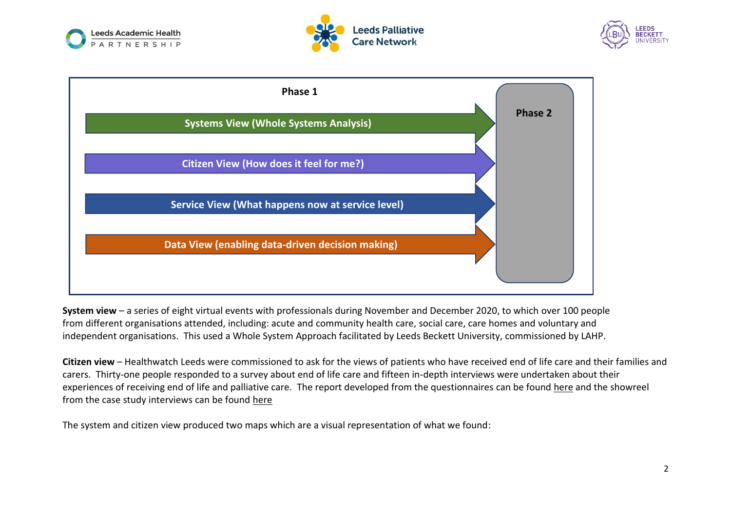







**System view** – a series of eight virtual events with professionals during November and December 2020, to which over 100 people from different organisations attended, including: acute and community health care, social care, care homes and voluntary and independent organisations. This used a Whole System Approach facilitated by Leeds Beckett University, commissioned by LAHP.

**Citizen view** – Healthwatch Leeds were commissioned to ask for the views of patients who have received end of life care and their families and carers. Thirty-one people responded to a survey about end of life care and fifteen in-depth interviews were undertaken about their experiences of receiving end of life and palliative care. The report developed from the questionnaires can be found [here](https://leedspalliativecare.org.uk/professionals/resources/leeds-dying-well-in-the-community-project-resources/) and the showreel from the case study interviews can be found [here](https://leedspalliativecare.org.uk/professionals/resources/leeds-dying-well-in-the-community-project-resources/)

The system and citizen view produced two maps which are a visual representation of what we found: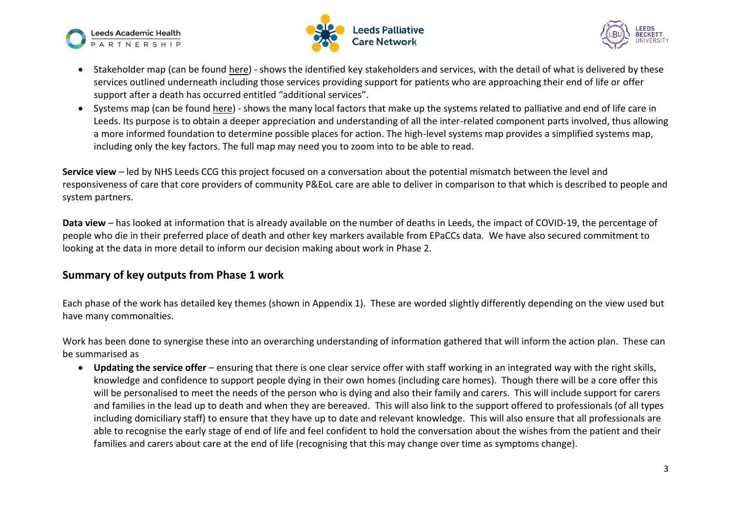





- Stakeholder map (can be found [here\)](https://leedspalliativecare.org.uk/professionals/resources/leeds-dying-well-in-the-community-project-resources/) shows the identified key stakeholders and services, with the detail of what is delivered by these services outlined underneath including those services providing support for patients who are approaching their end of life or offer support after a death has occurred entitled "additional services".
- Systems map (can be found [here\)](https://leedspalliativecare.org.uk/professionals/resources/leeds-dying-well-in-the-community-project-resources/) shows the many local factors that make up the systems related to palliative and end of life care in Leeds. Its purpose is to obtain a deeper appreciation and understanding of all the inter-related component parts involved, thus allowing a more informed foundation to determine possible places for action. The high-level systems map provides a simplified systems map, including only the key factors. The full map may need you to zoom into to be able to read.

**Service view** – led by NHS Leeds CCG this project focused on a conversation about the potential mismatch between the level and responsiveness of care that core providers of community P&EoL care are able to deliver in comparison to that which is described to people and system partners.

**Data view** – has looked at information that is already available on the number of deaths in Leeds, the impact of COVID-19, the percentage of people who die in their preferred place of death and other key markers available from EPaCCs data. We have also secured commitment to looking at the data in more detail to inform our decision making about work in Phase 2.

### **Summary of key outputs from Phase 1 work**

Each phase of the work has detailed key themes (shown in Appendix 1). These are worded slightly differently depending on the view used but have many commonalties.

Work has been done to synergise these into an overarching understanding of information gathered that will inform the action plan. These can be summarised as

• **Updating the service offer** – ensuring that there is one clear service offer with staff working in an integrated way with the right skills, knowledge and confidence to support people dying in their own homes (including care homes). Though there will be a core offer this will be personalised to meet the needs of the person who is dying and also their family and carers. This will include support for carers and families in the lead up to death and when they are bereaved. This will also link to the support offered to professionals (of all types including domiciliary staff) to ensure that they have up to date and relevant knowledge. This will also ensure that all professionals are able to recognise the early stage of end of life and feel confident to hold the conversation about the wishes from the patient and their families and carers about care at the end of life (recognising that this may change over time as symptoms change).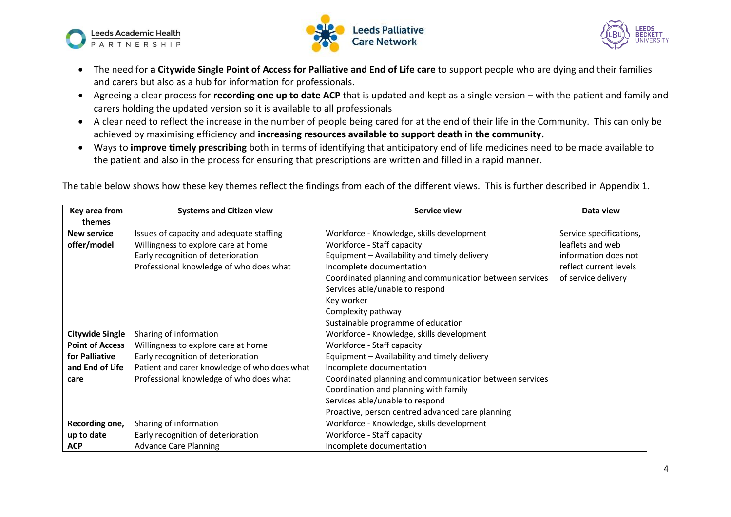





- The need for **a Citywide Single Point of Access for Palliative and End of Life care** to support people who are dying and their families and carers but also as a hub for information for professionals.
- Agreeing a clear process for **recording one up to date ACP** that is updated and kept as a single version with the patient and family and carers holding the updated version so it is available to all professionals
- A clear need to reflect the increase in the number of people being cared for at the end of their life in the Community. This can only be achieved by maximising efficiency and **increasing resources available to support death in the community.**
- Ways to **improve timely prescribing** both in terms of identifying that anticipatory end of life medicines need to be made available to the patient and also in the process for ensuring that prescriptions are written and filled in a rapid manner.

The table below shows how these key themes reflect the findings from each of the different views. This is further described in Appendix 1.

| Key area from          | <b>Systems and Citizen view</b>              | <b>Service view</b>                                     | Data view               |
|------------------------|----------------------------------------------|---------------------------------------------------------|-------------------------|
| themes                 |                                              |                                                         |                         |
| <b>New service</b>     | Issues of capacity and adequate staffing     | Workforce - Knowledge, skills development               | Service specifications, |
| offer/model            | Willingness to explore care at home          | Workforce - Staff capacity                              | leaflets and web        |
|                        | Early recognition of deterioration           | Equipment - Availability and timely delivery            | information does not    |
|                        | Professional knowledge of who does what      | Incomplete documentation                                | reflect current levels  |
|                        |                                              | Coordinated planning and communication between services | of service delivery     |
|                        |                                              | Services able/unable to respond                         |                         |
|                        |                                              | Key worker                                              |                         |
|                        |                                              | Complexity pathway                                      |                         |
|                        |                                              | Sustainable programme of education                      |                         |
| <b>Citywide Single</b> | Sharing of information                       | Workforce - Knowledge, skills development               |                         |
| <b>Point of Access</b> | Willingness to explore care at home          | Workforce - Staff capacity                              |                         |
| for Palliative         | Early recognition of deterioration           | Equipment - Availability and timely delivery            |                         |
| and End of Life        | Patient and carer knowledge of who does what | Incomplete documentation                                |                         |
| care                   | Professional knowledge of who does what      | Coordinated planning and communication between services |                         |
|                        |                                              | Coordination and planning with family                   |                         |
|                        |                                              | Services able/unable to respond                         |                         |
|                        |                                              | Proactive, person centred advanced care planning        |                         |
| Recording one,         | Sharing of information                       | Workforce - Knowledge, skills development               |                         |
| up to date             | Early recognition of deterioration           | Workforce - Staff capacity                              |                         |
| <b>ACP</b>             | <b>Advance Care Planning</b>                 | Incomplete documentation                                |                         |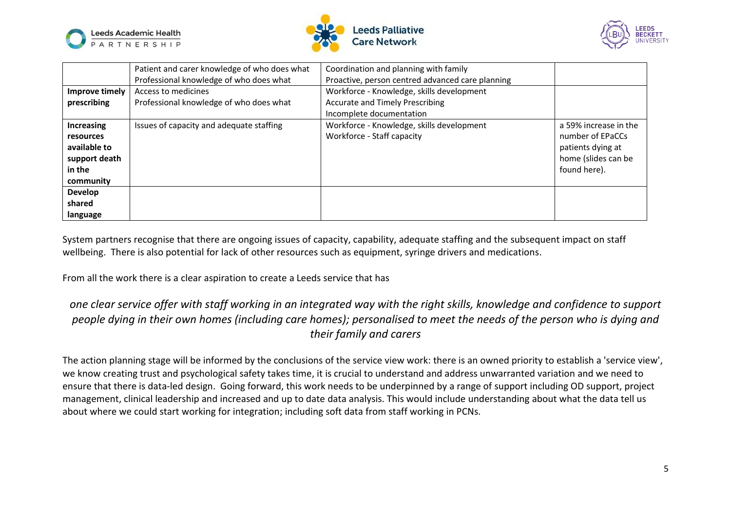





|                  | Patient and carer knowledge of who does what | Coordination and planning with family            |                       |
|------------------|----------------------------------------------|--------------------------------------------------|-----------------------|
|                  | Professional knowledge of who does what      | Proactive, person centred advanced care planning |                       |
| Improve timely   | Access to medicines                          | Workforce - Knowledge, skills development        |                       |
| prescribing      | Professional knowledge of who does what      | <b>Accurate and Timely Prescribing</b>           |                       |
|                  |                                              | Incomplete documentation                         |                       |
| Increasing       | Issues of capacity and adequate staffing     | Workforce - Knowledge, skills development        | a 59% increase in the |
| <b>resources</b> |                                              | Workforce - Staff capacity                       | number of EPaCCs      |
| available to     |                                              |                                                  | patients dying at     |
| support death    |                                              |                                                  | home (slides can be   |
| in the           |                                              |                                                  | found here).          |
| community        |                                              |                                                  |                       |
| <b>Develop</b>   |                                              |                                                  |                       |
| shared           |                                              |                                                  |                       |
| language         |                                              |                                                  |                       |

System partners recognise that there are ongoing issues of capacity, capability, adequate staffing and the subsequent impact on staff wellbeing. There is also potential for lack of other resources such as equipment, syringe drivers and medications.

From all the work there is a clear aspiration to create a Leeds service that has

# *one clear service offer with staff working in an integrated way with the right skills, knowledge and confidence to support people dying in their own homes (including care homes); personalised to meet the needs of the person who is dying and their family and carers*

The action planning stage will be informed by the conclusions of the service view work: there is an owned priority to establish a 'service view', we know creating trust and psychological safety takes time, it is crucial to understand and address unwarranted variation and we need to ensure that there is data-led design. Going forward, this work needs to be underpinned by a range of support including OD support, project management, clinical leadership and increased and up to date data analysis. This would include understanding about what the data tell us about where we could start working for integration; including soft data from staff working in PCNs.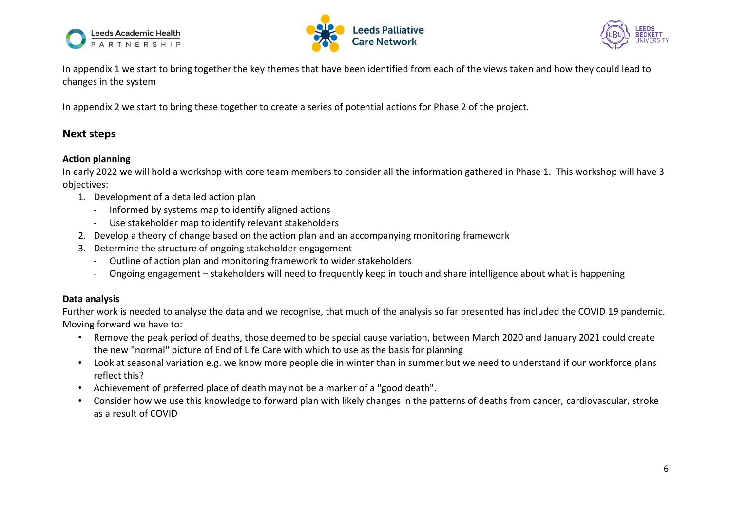





In appendix 1 we start to bring together the key themes that have been identified from each of the views taken and how they could lead to changes in the system

In appendix 2 we start to bring these together to create a series of potential actions for Phase 2 of the project.

### **Next steps**

#### **Action planning**

In early 2022 we will hold a workshop with core team members to consider all the information gathered in Phase 1. This workshop will have 3 objectives:

- 1. Development of a detailed action plan
	- Informed by systems map to identify aligned actions
	- Use stakeholder map to identify relevant stakeholders
- 2. Develop a theory of change based on the action plan and an accompanying monitoring framework
- 3. Determine the structure of ongoing stakeholder engagement
	- Outline of action plan and monitoring framework to wider stakeholders
	- Ongoing engagement stakeholders will need to frequently keep in touch and share intelligence about what is happening

#### **Data analysis**

Further work is needed to analyse the data and we recognise, that much of the analysis so far presented has included the COVID 19 pandemic. Moving forward we have to:

- Remove the peak period of deaths, those deemed to be special cause variation, between March 2020 and January 2021 could create the new "normal" picture of End of Life Care with which to use as the basis for planning
- Look at seasonal variation e.g. we know more people die in winter than in summer but we need to understand if our workforce plans reflect this?
- Achievement of preferred place of death may not be a marker of a "good death".
- Consider how we use this knowledge to forward plan with likely changes in the patterns of deaths from cancer, cardiovascular, stroke as a result of COVID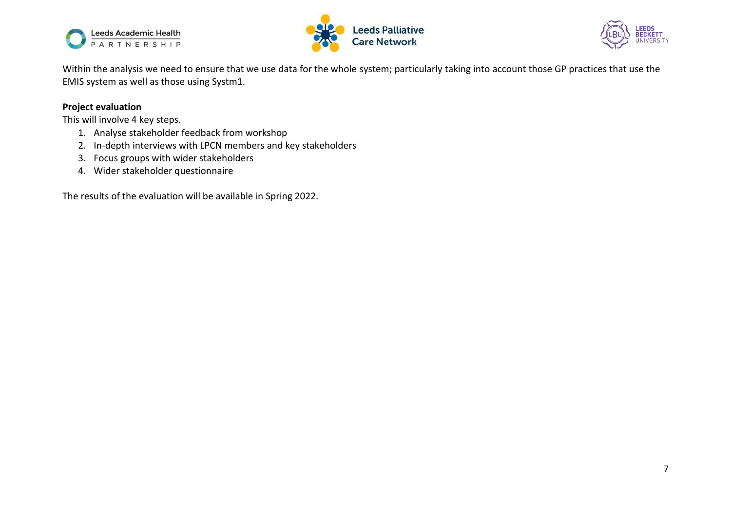





Within the analysis we need to ensure that we use data for the whole system; particularly taking into account those GP practices that use the EMIS system as well as those using Systm1.

#### **Project evaluation**

This will involve 4 key steps.

- 1. Analyse stakeholder feedback from workshop
- 2. In-depth interviews with LPCN members and key stakeholders
- 3. Focus groups with wider stakeholders
- 4. Wider stakeholder questionnaire

The results of the evaluation will be available in Spring 2022.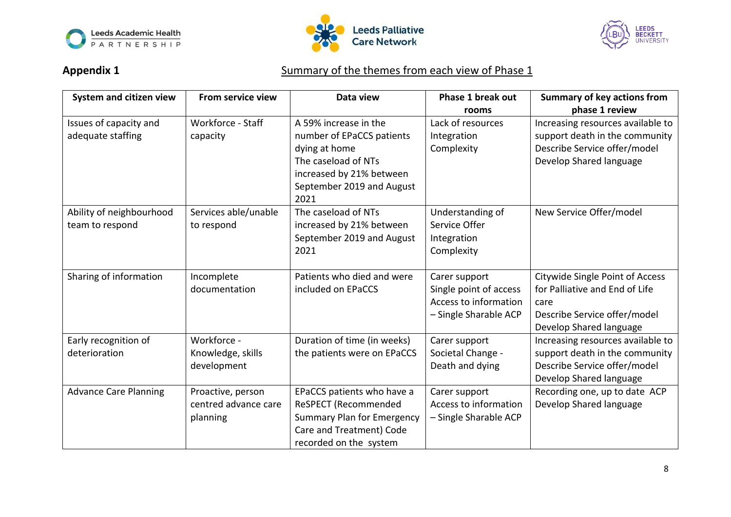





# Appendix 1 **Summary of the themes from each view of Phase 1**

| System and citizen view      | From service view    | Data view                         | <b>Phase 1 break out</b> | <b>Summary of key actions from</b> |
|------------------------------|----------------------|-----------------------------------|--------------------------|------------------------------------|
|                              |                      |                                   | rooms                    | phase 1 review                     |
| Issues of capacity and       | Workforce - Staff    | A 59% increase in the             | Lack of resources        | Increasing resources available to  |
| adequate staffing            | capacity             | number of EPaCCS patients         | Integration              | support death in the community     |
|                              |                      | dying at home                     | Complexity               | Describe Service offer/model       |
|                              |                      | The caseload of NTs               |                          | Develop Shared language            |
|                              |                      | increased by 21% between          |                          |                                    |
|                              |                      | September 2019 and August         |                          |                                    |
|                              |                      | 2021                              |                          |                                    |
| Ability of neighbourhood     | Services able/unable | The caseload of NTs               | Understanding of         | New Service Offer/model            |
| team to respond              | to respond           | increased by 21% between          | Service Offer            |                                    |
|                              |                      | September 2019 and August         | Integration              |                                    |
|                              |                      | 2021                              | Complexity               |                                    |
|                              |                      |                                   |                          |                                    |
| Sharing of information       | Incomplete           | Patients who died and were        | Carer support            | Citywide Single Point of Access    |
|                              | documentation        | included on EPaCCS                | Single point of access   | for Palliative and End of Life     |
|                              |                      |                                   | Access to information    | care                               |
|                              |                      |                                   | - Single Sharable ACP    | Describe Service offer/model       |
|                              |                      |                                   |                          | Develop Shared language            |
| Early recognition of         | Workforce -          | Duration of time (in weeks)       | Carer support            | Increasing resources available to  |
| deterioration                | Knowledge, skills    | the patients were on EPaCCS       | Societal Change -        | support death in the community     |
|                              | development          |                                   | Death and dying          | Describe Service offer/model       |
|                              |                      |                                   |                          | Develop Shared language            |
| <b>Advance Care Planning</b> | Proactive, person    | EPaCCS patients who have a        | Carer support            | Recording one, up to date ACP      |
|                              | centred advance care | ReSPECT (Recommended              | Access to information    | Develop Shared language            |
|                              | planning             | <b>Summary Plan for Emergency</b> | - Single Sharable ACP    |                                    |
|                              |                      | Care and Treatment) Code          |                          |                                    |
|                              |                      | recorded on the system            |                          |                                    |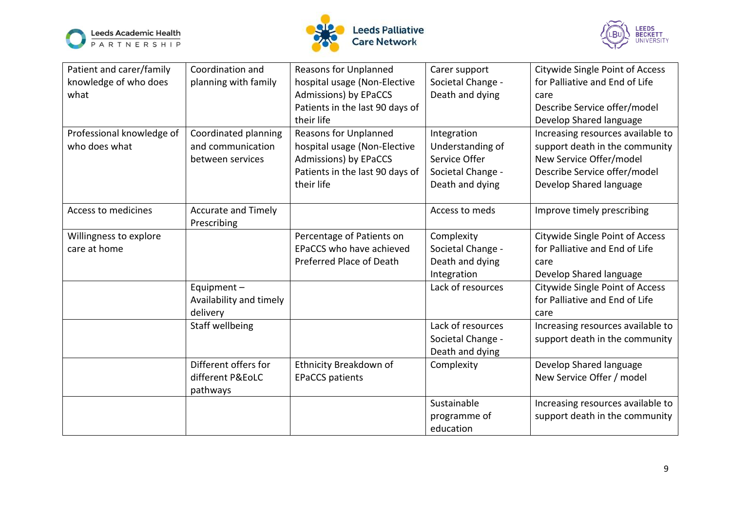





| Patient and carer/family  | Coordination and           | <b>Reasons for Unplanned</b>    | Carer support     | Citywide Single Point of Access   |
|---------------------------|----------------------------|---------------------------------|-------------------|-----------------------------------|
| knowledge of who does     | planning with family       | hospital usage (Non-Elective    | Societal Change - | for Palliative and End of Life    |
| what                      |                            | Admissions) by EPaCCS           | Death and dying   | care                              |
|                           |                            | Patients in the last 90 days of |                   | Describe Service offer/model      |
|                           |                            | their life                      |                   | Develop Shared language           |
| Professional knowledge of | Coordinated planning       | <b>Reasons for Unplanned</b>    | Integration       | Increasing resources available to |
| who does what             | and communication          | hospital usage (Non-Elective    | Understanding of  | support death in the community    |
|                           | between services           | Admissions) by EPaCCS           | Service Offer     | New Service Offer/model           |
|                           |                            | Patients in the last 90 days of | Societal Change - | Describe Service offer/model      |
|                           |                            | their life                      | Death and dying   | Develop Shared language           |
|                           |                            |                                 |                   |                                   |
| Access to medicines       | <b>Accurate and Timely</b> |                                 | Access to meds    | Improve timely prescribing        |
|                           | Prescribing                |                                 |                   |                                   |
| Willingness to explore    |                            | Percentage of Patients on       | Complexity        | Citywide Single Point of Access   |
| care at home              |                            | EPaCCS who have achieved        | Societal Change - | for Palliative and End of Life    |
|                           |                            | Preferred Place of Death        | Death and dying   | care                              |
|                           |                            |                                 | Integration       | Develop Shared language           |
|                           | Equipment $-$              |                                 | Lack of resources | Citywide Single Point of Access   |
|                           | Availability and timely    |                                 |                   | for Palliative and End of Life    |
|                           | delivery                   |                                 |                   | care                              |
|                           | Staff wellbeing            |                                 | Lack of resources | Increasing resources available to |
|                           |                            |                                 | Societal Change - | support death in the community    |
|                           |                            |                                 | Death and dying   |                                   |
|                           | Different offers for       | Ethnicity Breakdown of          | Complexity        | Develop Shared language           |
|                           | different P&EoLC           | <b>EPaCCS patients</b>          |                   | New Service Offer / model         |
|                           | pathways                   |                                 |                   |                                   |
|                           |                            |                                 | Sustainable       | Increasing resources available to |
|                           |                            |                                 | programme of      | support death in the community    |
|                           |                            |                                 | education         |                                   |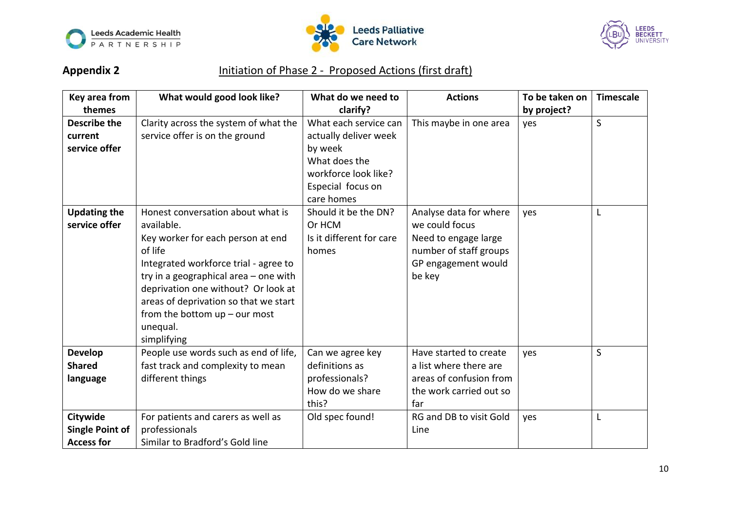





# Appendix 2 **Initiation of Phase 2 - Proposed Actions (first draft)**

| Key area from          | What would good look like?            | What do we need to       | <b>Actions</b>          | To be taken on | <b>Timescale</b> |
|------------------------|---------------------------------------|--------------------------|-------------------------|----------------|------------------|
| themes                 |                                       | clarify?                 |                         | by project?    |                  |
| <b>Describe the</b>    | Clarity across the system of what the | What each service can    | This maybe in one area  | yes            | $\mathsf{S}$     |
| current                | service offer is on the ground        | actually deliver week    |                         |                |                  |
| service offer          |                                       | by week                  |                         |                |                  |
|                        |                                       | What does the            |                         |                |                  |
|                        |                                       | workforce look like?     |                         |                |                  |
|                        |                                       | Especial focus on        |                         |                |                  |
|                        |                                       | care homes               |                         |                |                  |
| <b>Updating the</b>    | Honest conversation about what is     | Should it be the DN?     | Analyse data for where  | yes            | L                |
| service offer          | available.                            | Or HCM                   | we could focus          |                |                  |
|                        | Key worker for each person at end     | Is it different for care | Need to engage large    |                |                  |
|                        | of life                               | homes                    | number of staff groups  |                |                  |
|                        | Integrated workforce trial - agree to |                          | GP engagement would     |                |                  |
|                        | try in a geographical area - one with |                          | be key                  |                |                  |
|                        | deprivation one without? Or look at   |                          |                         |                |                  |
|                        | areas of deprivation so that we start |                          |                         |                |                  |
|                        | from the bottom $up$ – our most       |                          |                         |                |                  |
|                        | unequal.                              |                          |                         |                |                  |
|                        | simplifying                           |                          |                         |                |                  |
| <b>Develop</b>         | People use words such as end of life, | Can we agree key         | Have started to create  | yes            | S                |
| <b>Shared</b>          | fast track and complexity to mean     | definitions as           | a list where there are  |                |                  |
| language               | different things                      | professionals?           | areas of confusion from |                |                  |
|                        |                                       | How do we share          | the work carried out so |                |                  |
|                        |                                       | this?                    | far                     |                |                  |
| Citywide               | For patients and carers as well as    | Old spec found!          | RG and DB to visit Gold | yes            | L                |
| <b>Single Point of</b> | professionals                         |                          | Line                    |                |                  |
| <b>Access for</b>      | Similar to Bradford's Gold line       |                          |                         |                |                  |